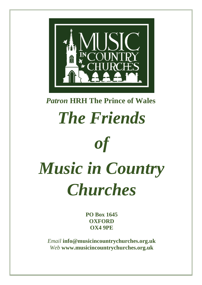

#### *Patron* **HRH The Prince of Wales**

## *The Friends of*

# *Music in Country Churches*

**PO Box 1645 OXFORD OX4 9PE**

*Email* **info@musicincountrychurches.org.uk** *Web* **www.musicincountrychurches.org.uk**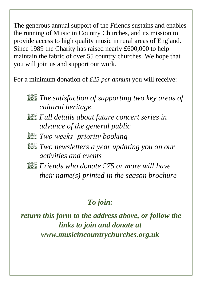The generous annual support of the Friends sustains and enables the running of Music in Country Churches, and its mission to provide access to high quality music in rural areas of England. Since 1989 the Charity has raised nearly £600,000 to help maintain the fabric of over 55 country churches. We hope that you will join us and support our work.

For a minimum donation of *£25 per annum* you will receive:

*The satisfaction of supporting two key areas of cultural heritage.*

- *Full details about future concert series in advance of the general public*
- *Two weeks' priority booking*
- *Formally assumed Two newsletters a year updating you on our activities and events*
- *Friends who donate £75 or more will have their name(s) printed in the season brochure*

#### *To join:*

*return this form to the address above, or follow the links to join and donate at www.musicincountrychurches.org.uk*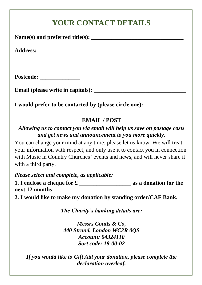### **YOUR CONTACT DETAILS Name(s) and preferred title(s): \_\_\_\_\_\_\_\_\_\_\_\_\_\_\_\_\_\_\_\_\_\_\_\_\_\_\_\_\_\_\_\_ Address: \_\_\_\_\_\_\_\_\_\_\_\_\_\_\_\_\_\_\_\_\_\_\_\_\_\_\_\_\_\_\_\_\_\_\_\_\_\_\_\_\_\_\_\_\_\_\_\_\_\_\_ \_\_\_\_\_\_\_\_\_\_\_\_\_\_\_\_\_\_\_\_\_\_\_\_\_\_\_\_\_\_\_\_\_\_\_\_\_\_\_\_\_\_\_\_\_\_\_\_\_\_\_\_\_\_\_\_\_\_\_ Postcode: \_\_\_\_\_\_\_\_\_\_\_\_\_\_ Email (please write in capitals): \_\_\_\_\_\_\_\_\_\_\_\_\_\_\_\_\_\_\_\_\_\_\_\_\_\_\_\_\_\_\_\_ I would prefer to be contacted by (please circle one): EMAIL / POST** *Allowing us to contact you via email will help us save on postage costs and get news and announcement to you more quickly.* You can change your mind at any time: please let us know. We will treat your information with respect, and only use it to contact you in connection with Music in Country Churches' events and news, and will never share it with a third party. *Please select and complete, as applicable:* **1.** I enclose a cheque for **£** as a donation for the **next 12 months 2. I would like to make my donation by standing order/CAF Bank.**  *The Charity's banking details are: Messrs Coutts & Co, 440 Strand, London WC2R 0QS Account: 04324110 Sort code: 18-00-02 If you would like to Gift Aid your donation, please complete the declaration overleaf.*